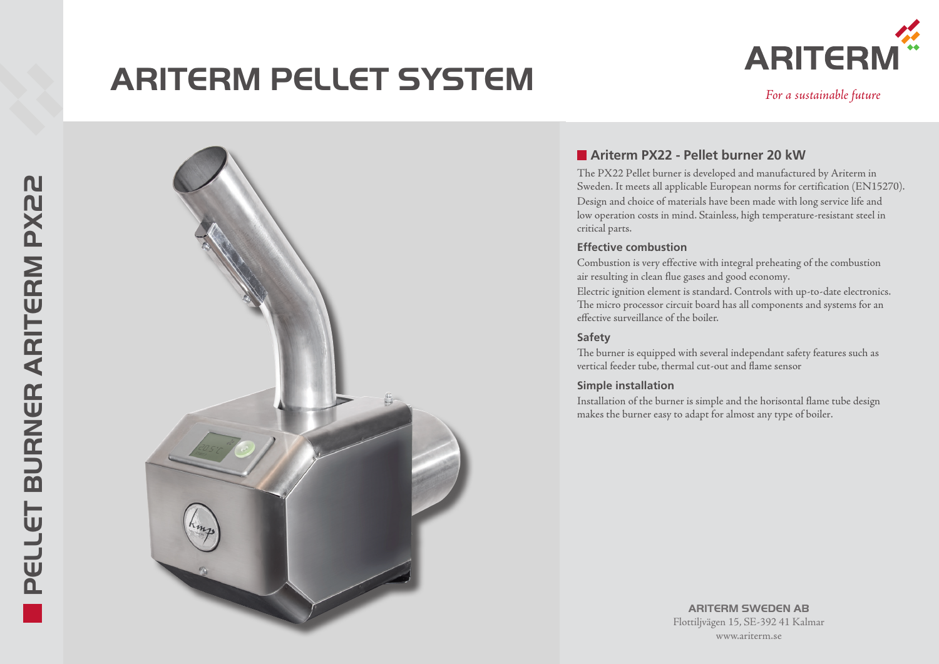# **ARITERM PELLET SYSTEM** *ARITERN For a sustainable future*





## **Ariterm PX22 - Pellet burner 20 kW**

The PX22 Pellet burner is developed and manufactured by Ariterm in Sweden. It meets all applicable European norms for certification (EN15270). Design and choice of materials have been made with long service life and low operation costs in mind. Stainless, high temperature-resistant steel in critical parts.

#### **Effective combustion**

Combustion is very effective with integral preheating of the combustion air resulting in clean flue gases and good economy.

Electric ignition element is standard. Controls with up-to-date electronics. The micro processor circuit board has all components and systems for an effective surveillance of the boiler.

### **Safety**

The burner is equipped with several independant safety features such as vertical feeder tube, thermal cut-out and flame sensor

### **Simple installation**

Installation of the burner is simple and the horisontal flame tube design makes the burner easy to adapt for almost any type of boiler.